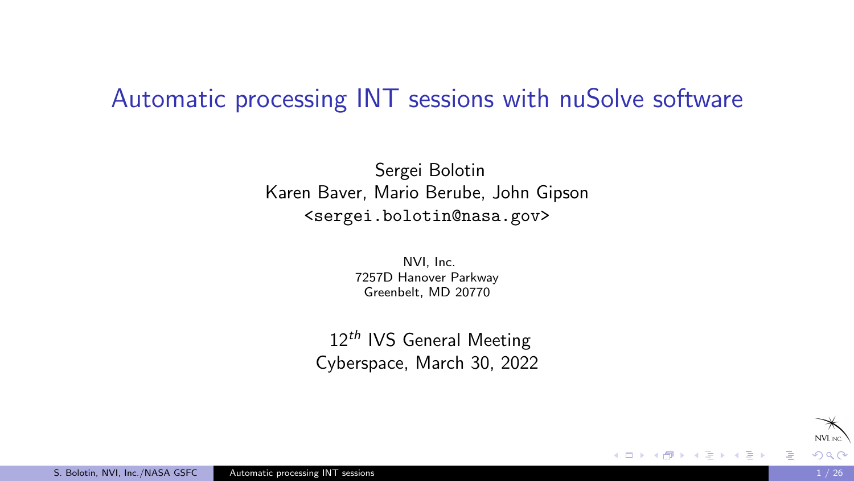#### <span id="page-0-0"></span>Automatic processing INT sessions with nuSolve software

Sergei Bolotin Karen Baver, Mario Berube, John Gipson <sergei.bolotin@nasa.gov>

> NVI, Inc. 7257D Hanover Parkway Greenbelt, MD 20770

 $12<sup>th</sup>$  IVS General Meeting Cyberspace, March 30, 2022

4 0 8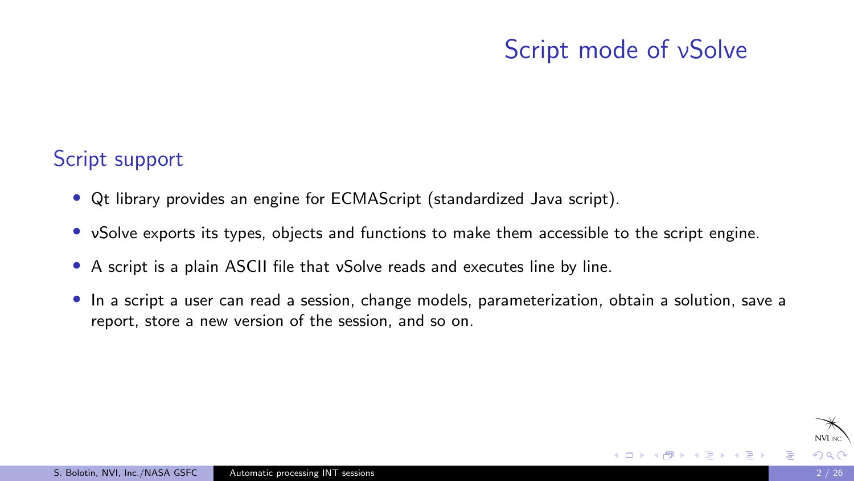# Script mode of νSolve

K ロ ▶ K 何 ▶ K 手

#### Script support

- Qt library provides an engine for ECMAScript (standardized Java script).
- vSolve exports its types, objects and functions to make them accessible to the script engine.
- A script is a plain ASCII file that vSolve reads and executes line by line.
- In a script a user can read a session, change models, parameterization, obtain a solution, save a report, store a new version of the session, and so on.

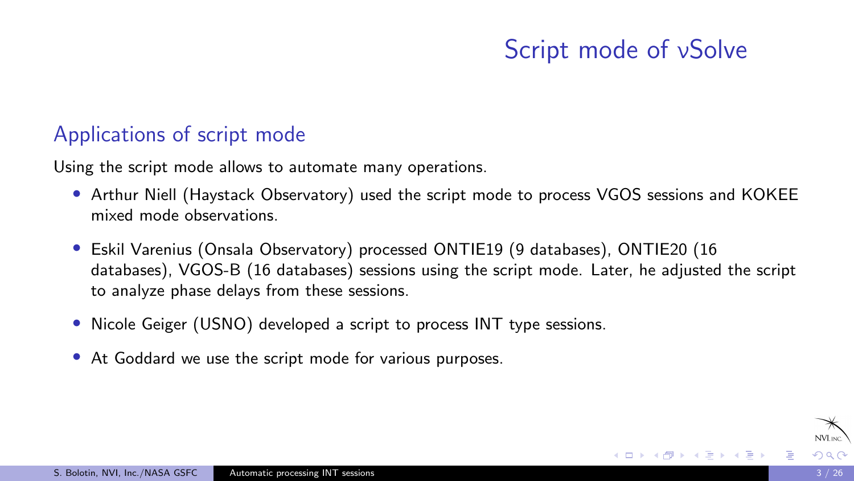# Script mode of νSolve

#### Applications of script mode

Using the script mode allows to automate many operations.

- Arthur Niell (Haystack Observatory) used the script mode to process VGOS sessions and KOKEE mixed mode observations.
- Eskil Varenius (Onsala Observatory) processed ONTIE19 (9 databases), ONTIE20 (16 databases), VGOS-B (16 databases) sessions using the script mode. Later, he adjusted the script to analyze phase delays from these sessions.
- Nicole Geiger (USNO) developed a script to process INT type sessions.
- At Goddard we use the script mode for various purposes.

イロメ イ何 トイヨ トイヨメ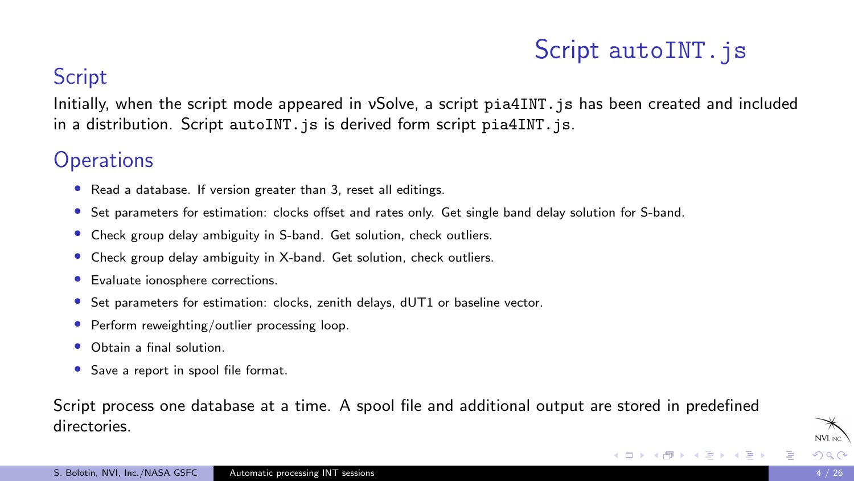# Script autoINT. is

イロメ イ何 トイヨ トイヨメ

#### **Script**

Initially, when the script mode appeared in vSolve, a script pia4INT, is has been created and included in a distribution. Script autoINT. is is derived form script pia4INT. is.

#### **Operations**

- Read a database. If version greater than 3, reset all editings.
- Set parameters for estimation: clocks offset and rates only. Get single band delay solution for S-band.
- Check group delay ambiguity in S-band. Get solution, check outliers.
- Check group delay ambiguity in X-band. Get solution, check outliers.
- Evaluate ionosphere corrections.
- Set parameters for estimation: clocks, zenith delays, dUT1 or baseline vector.
- Perform reweighting/outlier processing loop.
- Obtain a final solution.
- Save a report in spool file format.

Script process one database at a time. A spool file and additional output are stored in predefined directories.

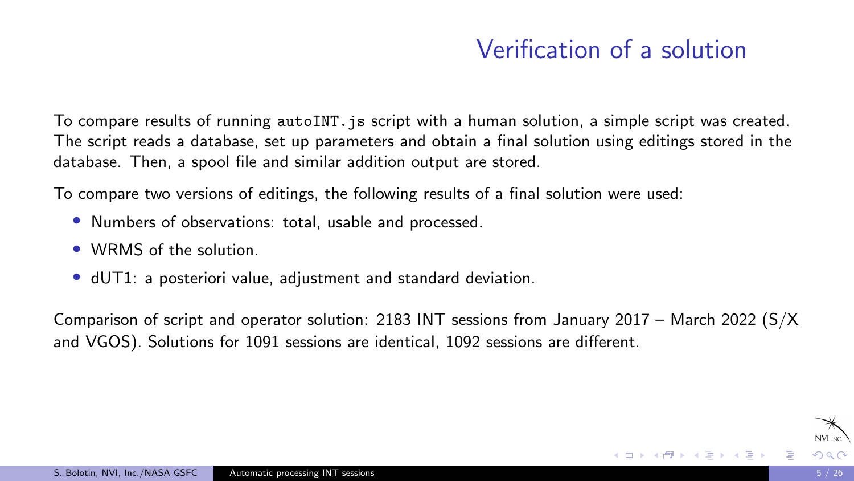# Verification of a solution

To compare results of running autoINT, is script with a human solution, a simple script was created. The script reads a database, set up parameters and obtain a final solution using editings stored in the database. Then, a spool file and similar addition output are stored.

To compare two versions of editings, the following results of a final solution were used:

- Numbers of observations: total, usable and processed.
- WRMS of the solution.
- dUT1: a posteriori value, adjustment and standard deviation.

Comparison of script and operator solution: 2183 INT sessions from January 2017 – March 2022 (S/X and VGOS). Solutions for 1091 sessions are identical, 1092 sessions are different.

イロメ イ押 トイヨ トイヨメ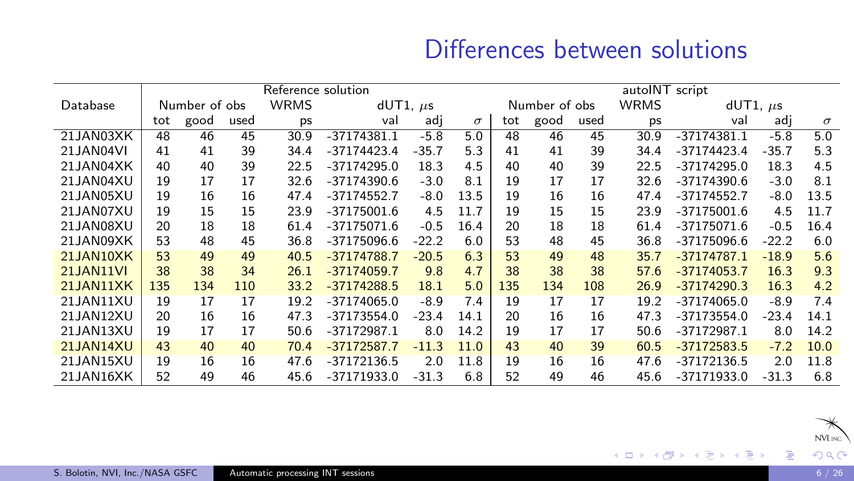### Differences between solutions

|                  | Reference solution |      |      |                              |               |         |               | autoINT script |      |             |               |               |         |          |
|------------------|--------------------|------|------|------------------------------|---------------|---------|---------------|----------------|------|-------------|---------------|---------------|---------|----------|
| Database         | Number of obs      |      |      | <b>WRMS</b><br>$dUT1, \mu s$ |               |         | Number of obs |                |      | <b>WRMS</b> | $dUT1, \mu s$ |               |         |          |
|                  | tot                | good | used | ps                           | val           | adi     | $\sigma$      | tot            | good | used        | ps            | val           | adi     | $\sigma$ |
| 21JAN03XK        | 48                 | 46   | 45   | 30.9                         | $-37174381.1$ | $-5.8$  | 5.0           | 48             | 46   | 45          | 30.9          | $-37174381.1$ | $-5.8$  | 5.0      |
| 21JAN04VI        | 41                 | 41   | 39   | 34.4                         | $-37174423.4$ | $-35.7$ | 5.3           | 41             | 41   | 39          | 34.4          | $-37174423.4$ | $-35.7$ | 5.3      |
| 21JAN04XK        | 40                 | 40   | 39   | 22.5                         | $-37174295.0$ | 18.3    | 4.5           | 40             | 40   | 39          | 22.5          | $-37174295.0$ | 18.3    | 4.5      |
| 21.JAN04XU       | 19                 | 17   | 17   | 32.6                         | $-37174390.6$ | $-3.0$  | 8.1           | 19             | 17   | 17          | 32.6          | -37174390.6   | $-3.0$  | 8.1      |
| 21JAN05XU        | 19                 | 16   | 16   | 47.4                         | $-37174552.7$ | $-8.0$  | 13.5          | 19             | 16   | 16          | 47.4          | -37174552.7   | $-8.0$  | 13.5     |
| 21.JAN07XU       | 19                 | 15   | 15   | 23.9                         | $-37175001.6$ | 4.5     | 11.7          | 19             | 15   | 15          | 23.9          | -37175001.6   | 4.5     | 11.7     |
| 21JAN08XU        | 20                 | 18   | 18   | 61.4                         | $-37175071.6$ | $-0.5$  | 16.4          | 20             | 18   | 18          | 61.4          | -37175071.6   | $-0.5$  | 16.4     |
| 21JAN09XK        | 53                 | 48   | 45   | 36.8                         | $-37175096.6$ | $-22.2$ | 6.0           | 53             | 48   | 45          | 36.8          | -37175096.6   | $-22.2$ | 6.0      |
| 21JAN10XK        | 53                 | 49   | 49   | 40.5                         | $-37174788.7$ | $-20.5$ | 6.3           | 53             | 49   | 48          | 35.7          | $-37174787.1$ | $-18.9$ | 5.6      |
| <b>21JAN11VI</b> | 38                 | 38   | 34   | 26.1                         | $-37174059.7$ | 9.8     | 4.7           | 38             | 38   | 38          | 57.6          | $-37174053.7$ | 16.3    | 9.3      |
| 21JAN11XK        | 135                | 134  | 110  | 33.2                         | $-37174288.5$ | 18.1    | 5.0           | 135            | 134  | 108         | 26.9          | $-37174290.3$ | 16.3    | 4.2      |
| 21.JAN11XU       | 19                 | 17   | 17   | 19.2                         | $-37174065.0$ | $-8.9$  | 7.4           | 19             | 17   | 17          | 19.2          | $-37174065.0$ | $-8.9$  | 7.4      |
| 21.JAN12XU       | 20                 | 16   | 16   | 47.3                         | $-37173554.0$ | $-23.4$ | 14.1          | 20             | 16   | 16          | 47.3          | $-37173554.0$ | $-23.4$ | 14.1     |
| 21JAN13XU        | 19                 | 17   | 17   | 50.6                         | $-37172987.1$ | 8.0     | 14.2          | 19             | 17   | 17          | 50.6          | $-37172987.1$ | 8.0     | 14.2     |
| 21JAN14XU        | 43                 | 40   | 40   | 70.4                         | $-37172587.7$ | $-11.3$ | 11.0          | 43             | 40   | 39          | 60.5          | $-37172583.5$ | $-7.2$  | 10.0     |
| 21JAN15XU        | 19                 | 16   | 16   | 47.6                         | $-37172136.5$ | 2.0     | 11.8          | 19             | 16   | 16          | 47.6          | -37172136.5   | 2.0     | 11.8     |
| 21JAN16XK        | 52                 | 49   | 46   | 45.6                         | $-37171933.0$ | $-31.3$ | 6.8           | 52             | 49   | 46          | 45.6          | $-37171933.0$ | $-31.3$ | 6.8      |

造

メロメメ 倒 メメ ミメメ ミメ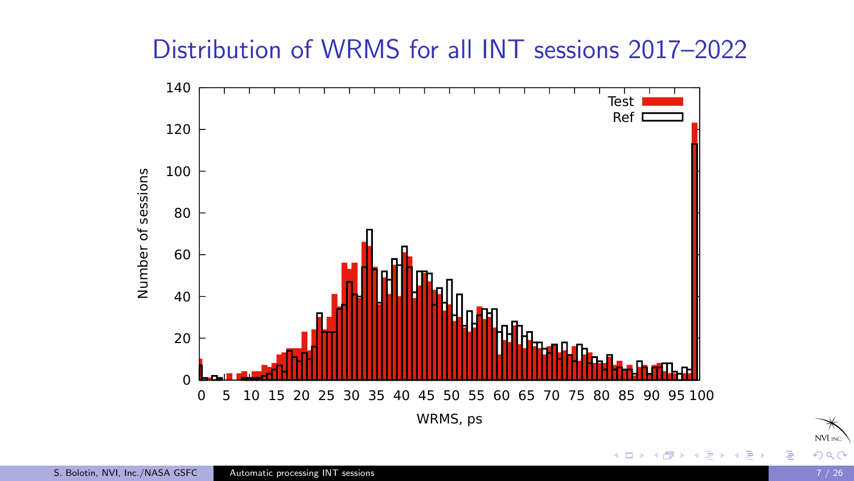#### Distribution of WRMS for all INT sessions 2017–2022



NVL<sub>INC</sub>

 $\Rightarrow$ ∍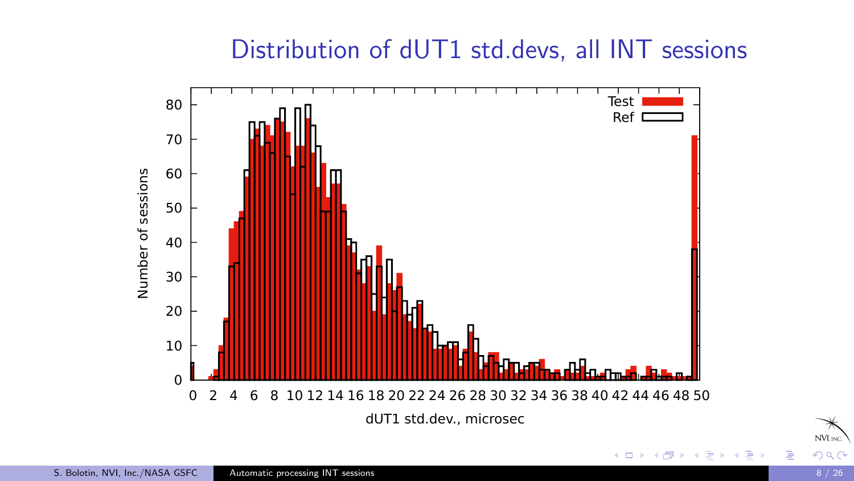### Distribution of dUT1 std.devs, all INT sessions



 $290$ 

NVL<sub>INC</sub>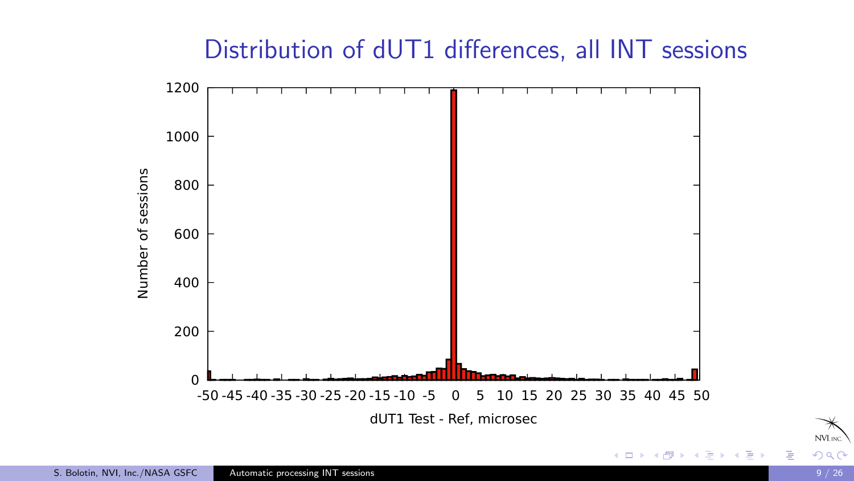## Distribution of dUT1 differences, all INT sessions



 $290$ 

NVL<sub>INC</sub>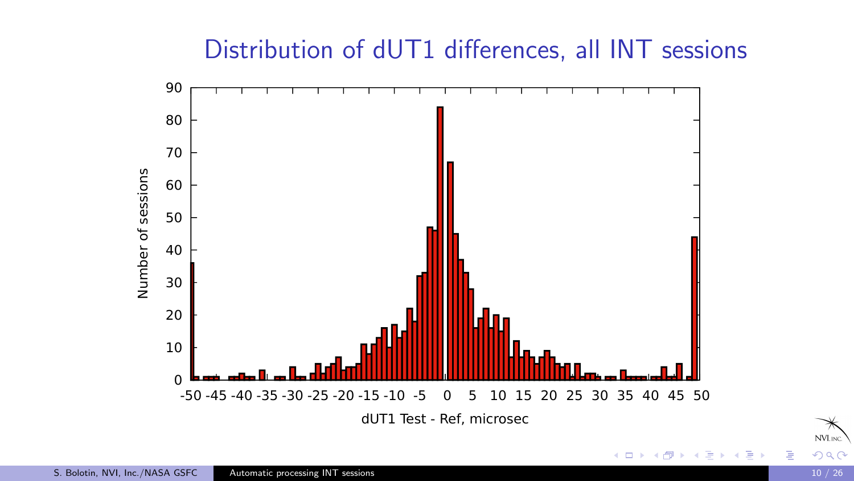# Distribution of dUT1 differences, all INT sessions





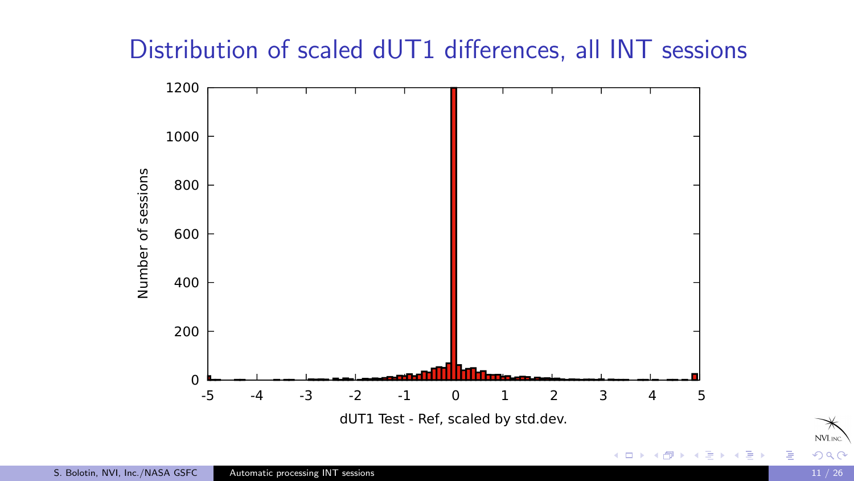# Distribution of scaled dUT1 differences, all INT sessions



NVL<sub>INC</sub>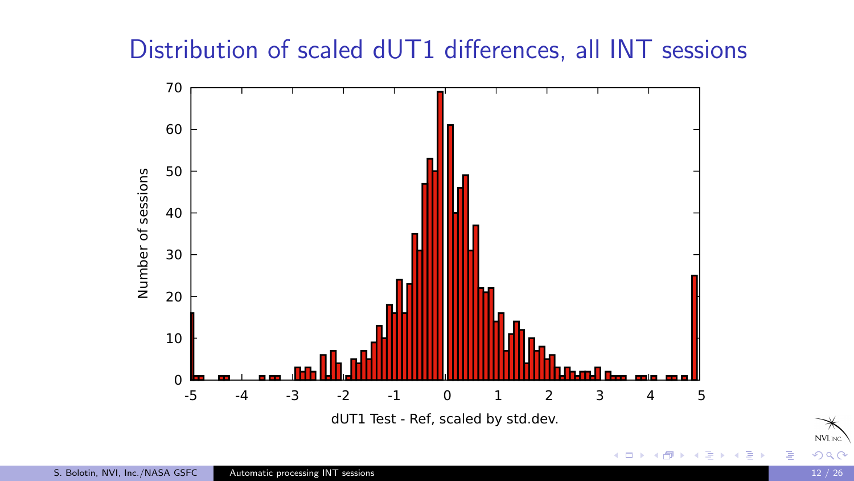# Distribution of scaled dUT1 differences, all INT sessions



 $299$ 

NVL<sub>INC</sub>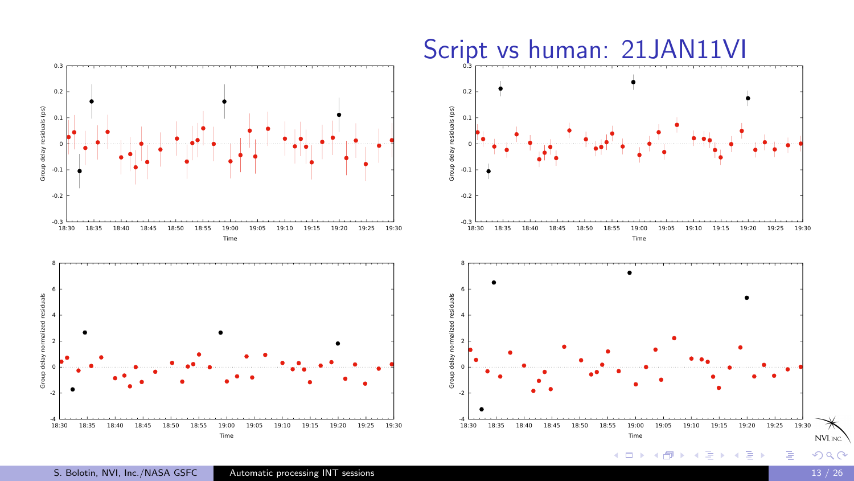

S. Bolotin, NVI, Inc./NASA GSFC [Automatic processing INT sessions](#page-0-0) 13 / 26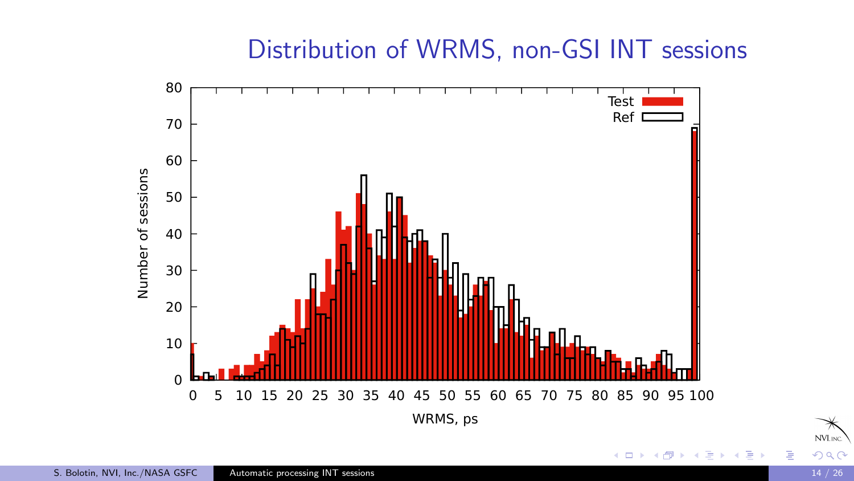#### Distribution of WRMS, non-GSI INT sessions





 $299$ 

NVL<sub>INC</sub>

∍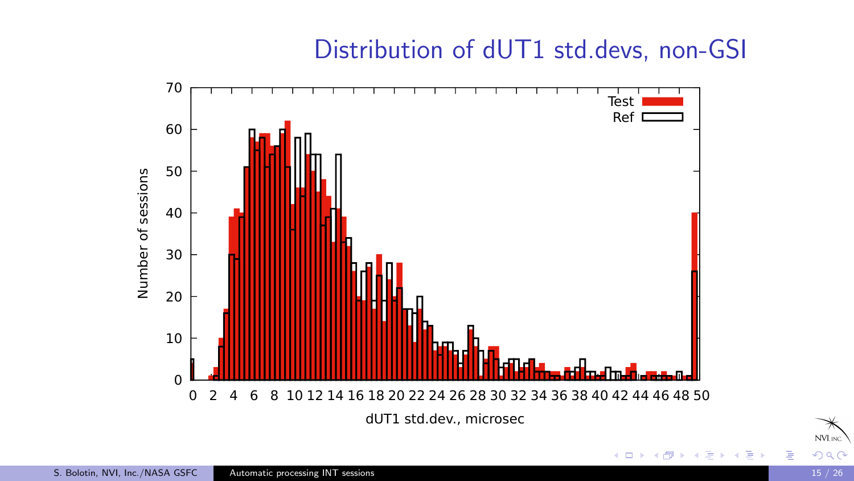#### Distribution of dUT1 std.devs, non-GSI





 $290$ 

NVL<sub>INC</sub>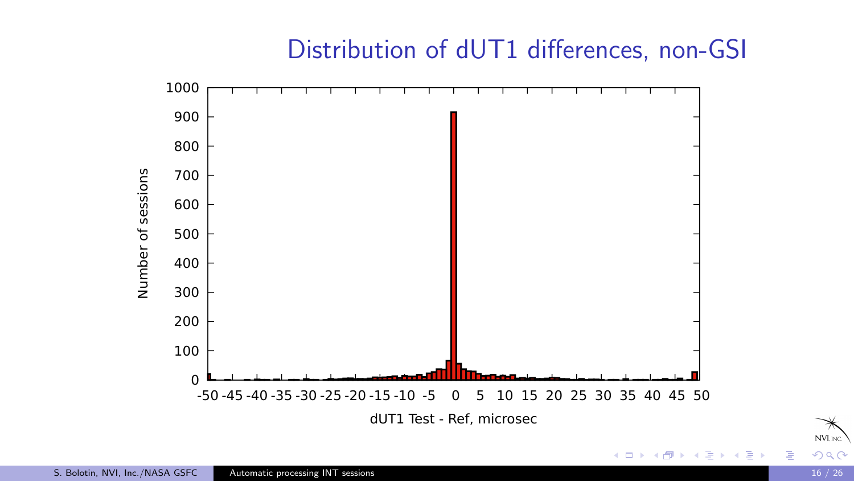# Distribution of dUT1 differences, non-GSI





NVLING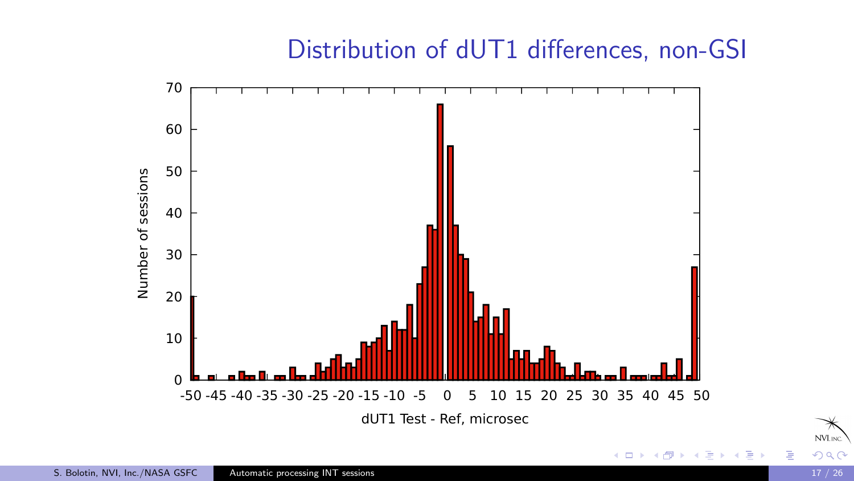### Distribution of dUT1 differences, non-GSI



NVL<sub>INC</sub>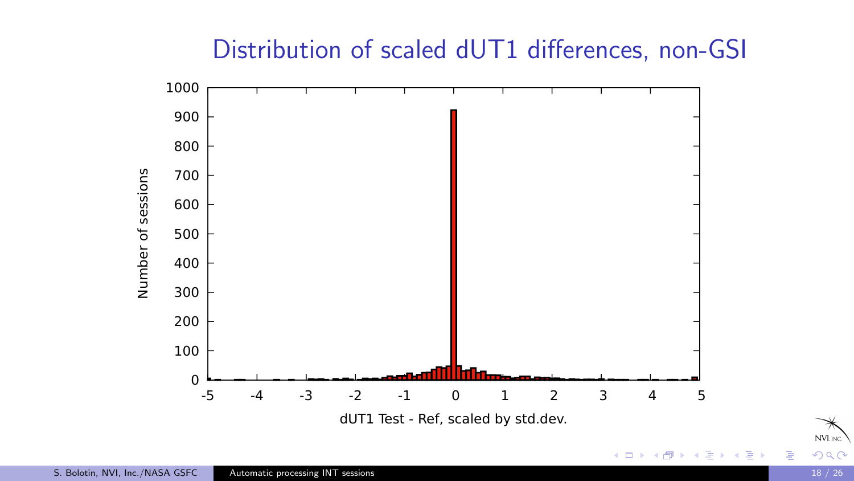# Distribution of scaled dUT1 differences, non-GSI



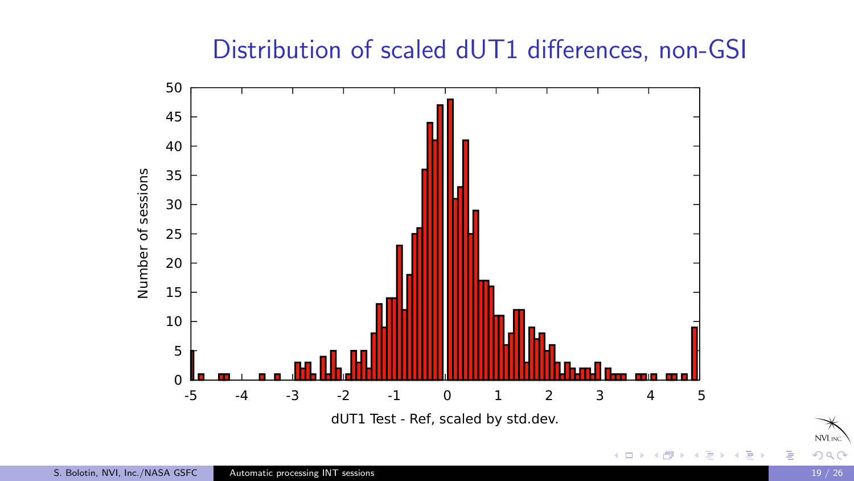# Distribution of scaled dUT1 differences, non-GSI



NVL<sub>INC</sub>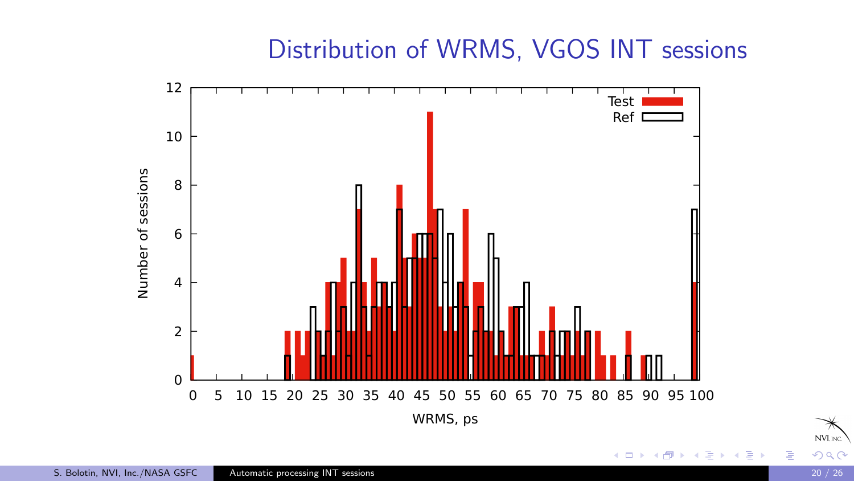#### Distribution of WRMS, VGOS INT sessions





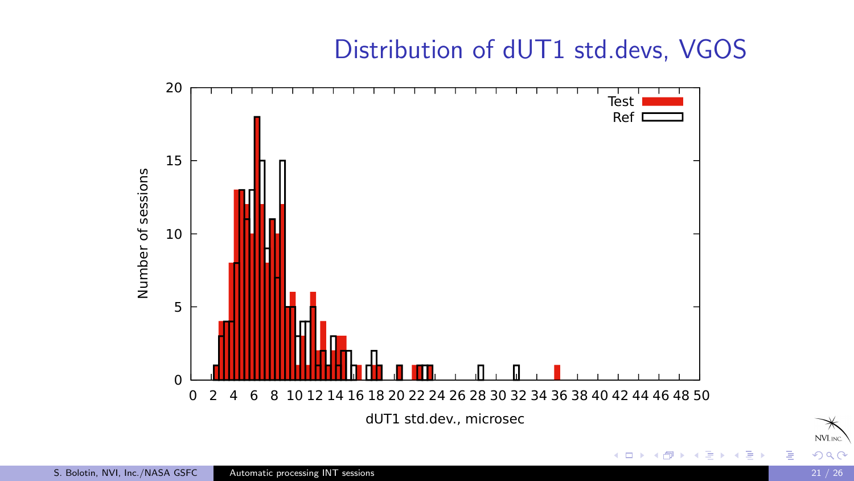# Distribution of dUT1 std.devs, VGOS





 $290$ 

NVL<sub>INC</sub>

Ε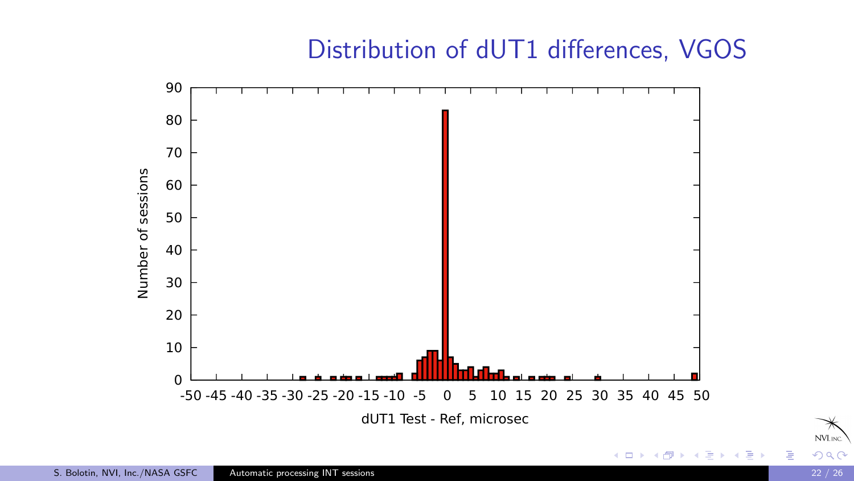### Distribution of dUT1 differences, VGOS



NVL<sub>INC</sub>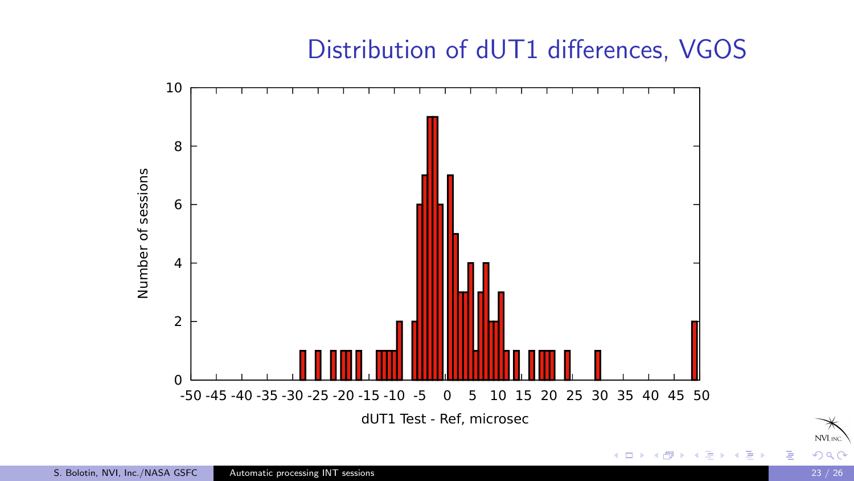### Distribution of dUT1 differences, VGOS



Ε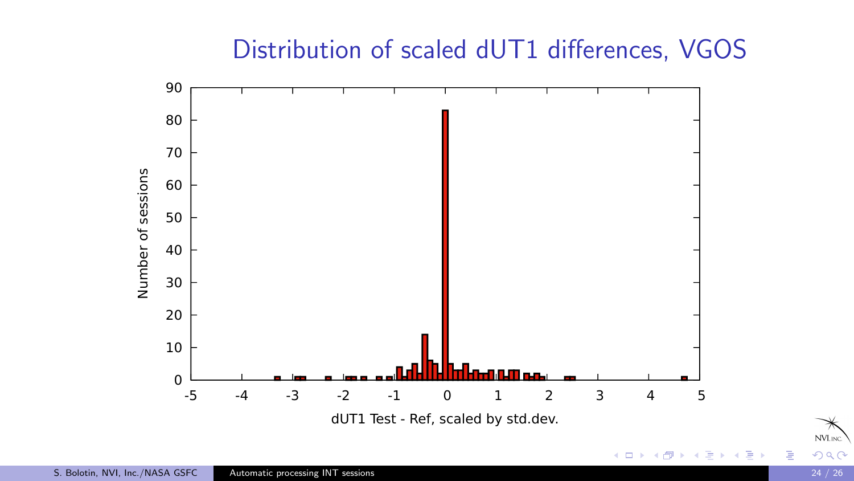# Distribution of scaled dUT1 differences, VGOS



NVL<sub>INC</sub>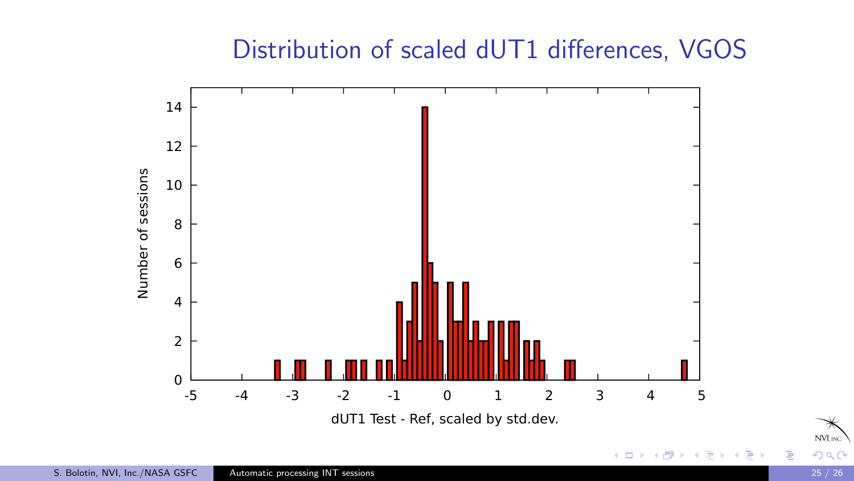# Distribution of scaled dUT1 differences, VGOS



NVL<sub>INC</sub>